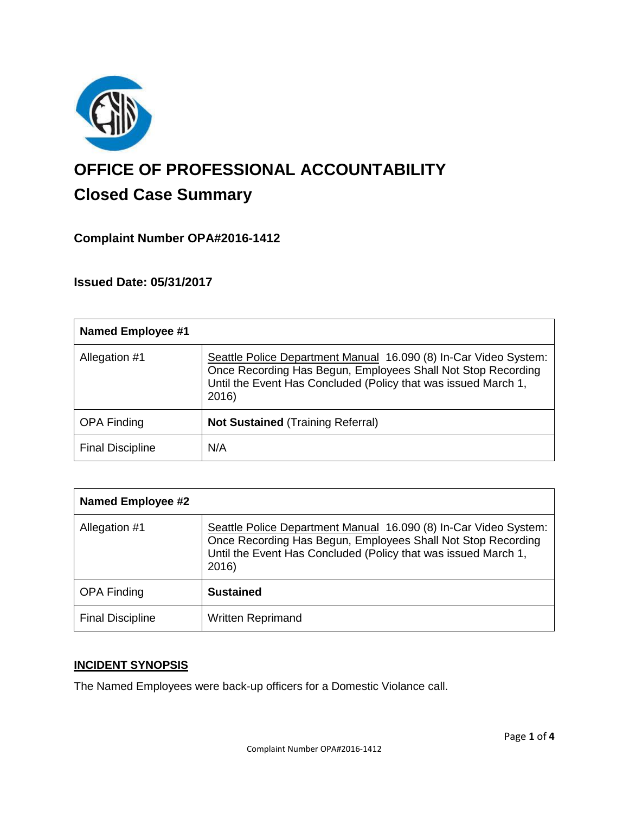

# **OFFICE OF PROFESSIONAL ACCOUNTABILITY Closed Case Summary**

## **Complaint Number OPA#2016-1412**

### **Issued Date: 05/31/2017**

| <b>Named Employee #1</b> |                                                                                                                                                                                                             |
|--------------------------|-------------------------------------------------------------------------------------------------------------------------------------------------------------------------------------------------------------|
| Allegation #1            | Seattle Police Department Manual 16.090 (8) In-Car Video System:<br>Once Recording Has Begun, Employees Shall Not Stop Recording<br>Until the Event Has Concluded (Policy that was issued March 1,<br>2016) |
| <b>OPA Finding</b>       | <b>Not Sustained (Training Referral)</b>                                                                                                                                                                    |
| <b>Final Discipline</b>  | N/A                                                                                                                                                                                                         |

| <b>Named Employee #2</b> |                                                                                                                                                                                                             |
|--------------------------|-------------------------------------------------------------------------------------------------------------------------------------------------------------------------------------------------------------|
| Allegation #1            | Seattle Police Department Manual 16.090 (8) In-Car Video System:<br>Once Recording Has Begun, Employees Shall Not Stop Recording<br>Until the Event Has Concluded (Policy that was issued March 1,<br>2016) |
| <b>OPA Finding</b>       | <b>Sustained</b>                                                                                                                                                                                            |
| <b>Final Discipline</b>  | <b>Written Reprimand</b>                                                                                                                                                                                    |

### **INCIDENT SYNOPSIS**

The Named Employees were back-up officers for a Domestic Violance call.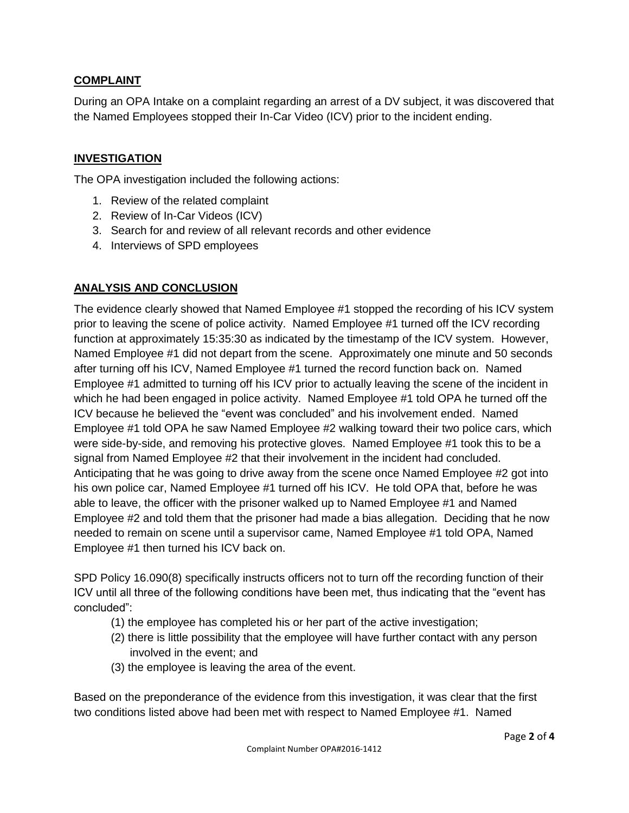#### **COMPLAINT**

During an OPA Intake on a complaint regarding an arrest of a DV subject, it was discovered that the Named Employees stopped their In-Car Video (ICV) prior to the incident ending.

#### **INVESTIGATION**

The OPA investigation included the following actions:

- 1. Review of the related complaint
- 2. Review of In-Car Videos (ICV)
- 3. Search for and review of all relevant records and other evidence
- 4. Interviews of SPD employees

#### **ANALYSIS AND CONCLUSION**

The evidence clearly showed that Named Employee #1 stopped the recording of his ICV system prior to leaving the scene of police activity. Named Employee #1 turned off the ICV recording function at approximately 15:35:30 as indicated by the timestamp of the ICV system. However, Named Employee #1 did not depart from the scene. Approximately one minute and 50 seconds after turning off his ICV, Named Employee #1 turned the record function back on. Named Employee #1 admitted to turning off his ICV prior to actually leaving the scene of the incident in which he had been engaged in police activity. Named Employee #1 told OPA he turned off the ICV because he believed the "event was concluded" and his involvement ended. Named Employee #1 told OPA he saw Named Employee #2 walking toward their two police cars, which were side-by-side, and removing his protective gloves. Named Employee #1 took this to be a signal from Named Employee #2 that their involvement in the incident had concluded. Anticipating that he was going to drive away from the scene once Named Employee #2 got into his own police car, Named Employee #1 turned off his ICV. He told OPA that, before he was able to leave, the officer with the prisoner walked up to Named Employee #1 and Named Employee #2 and told them that the prisoner had made a bias allegation. Deciding that he now needed to remain on scene until a supervisor came, Named Employee #1 told OPA, Named Employee #1 then turned his ICV back on.

SPD Policy 16.090(8) specifically instructs officers not to turn off the recording function of their ICV until all three of the following conditions have been met, thus indicating that the "event has concluded":

- (1) the employee has completed his or her part of the active investigation;
- (2) there is little possibility that the employee will have further contact with any person involved in the event; and
- (3) the employee is leaving the area of the event.

Based on the preponderance of the evidence from this investigation, it was clear that the first two conditions listed above had been met with respect to Named Employee #1. Named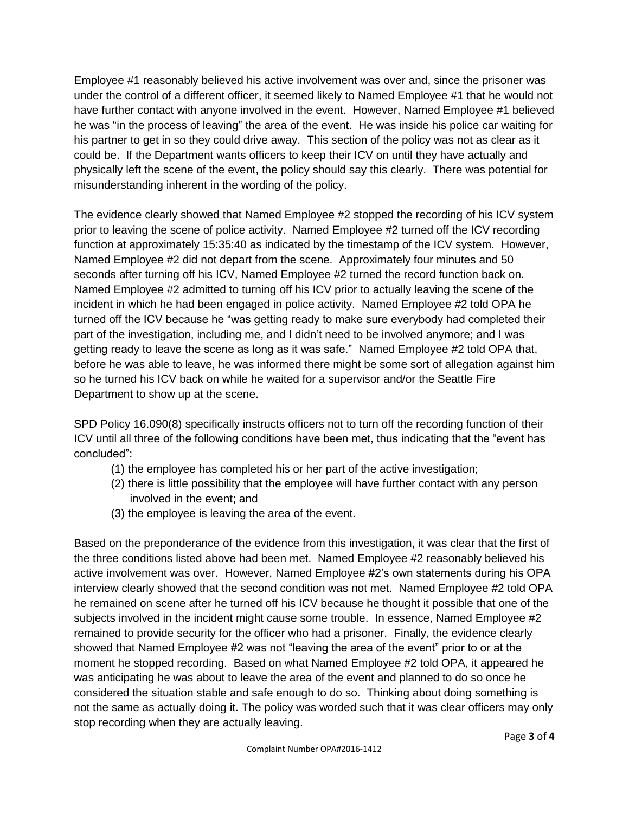Employee #1 reasonably believed his active involvement was over and, since the prisoner was under the control of a different officer, it seemed likely to Named Employee #1 that he would not have further contact with anyone involved in the event. However, Named Employee #1 believed he was "in the process of leaving" the area of the event. He was inside his police car waiting for his partner to get in so they could drive away. This section of the policy was not as clear as it could be. If the Department wants officers to keep their ICV on until they have actually and physically left the scene of the event, the policy should say this clearly. There was potential for misunderstanding inherent in the wording of the policy.

The evidence clearly showed that Named Employee #2 stopped the recording of his ICV system prior to leaving the scene of police activity. Named Employee #2 turned off the ICV recording function at approximately 15:35:40 as indicated by the timestamp of the ICV system. However, Named Employee #2 did not depart from the scene. Approximately four minutes and 50 seconds after turning off his ICV, Named Employee #2 turned the record function back on. Named Employee #2 admitted to turning off his ICV prior to actually leaving the scene of the incident in which he had been engaged in police activity. Named Employee #2 told OPA he turned off the ICV because he "was getting ready to make sure everybody had completed their part of the investigation, including me, and I didn't need to be involved anymore; and I was getting ready to leave the scene as long as it was safe." Named Employee #2 told OPA that, before he was able to leave, he was informed there might be some sort of allegation against him so he turned his ICV back on while he waited for a supervisor and/or the Seattle Fire Department to show up at the scene.

SPD Policy 16.090(8) specifically instructs officers not to turn off the recording function of their ICV until all three of the following conditions have been met, thus indicating that the "event has concluded":

- (1) the employee has completed his or her part of the active investigation;
- (2) there is little possibility that the employee will have further contact with any person involved in the event; and
- (3) the employee is leaving the area of the event.

Based on the preponderance of the evidence from this investigation, it was clear that the first of the three conditions listed above had been met. Named Employee #2 reasonably believed his active involvement was over. However, Named Employee #2's own statements during his OPA interview clearly showed that the second condition was not met. Named Employee #2 told OPA he remained on scene after he turned off his ICV because he thought it possible that one of the subjects involved in the incident might cause some trouble. In essence, Named Employee #2 remained to provide security for the officer who had a prisoner. Finally, the evidence clearly showed that Named Employee #2 was not "leaving the area of the event" prior to or at the moment he stopped recording. Based on what Named Employee #2 told OPA, it appeared he was anticipating he was about to leave the area of the event and planned to do so once he considered the situation stable and safe enough to do so. Thinking about doing something is not the same as actually doing it. The policy was worded such that it was clear officers may only stop recording when they are actually leaving.